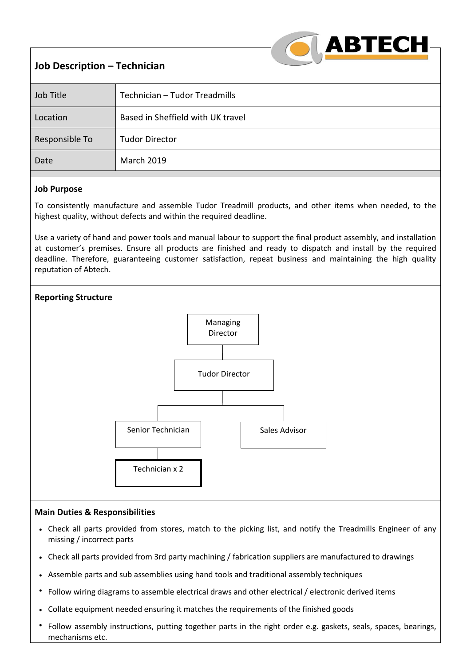|  | <b>ABTECH</b> |  |
|--|---------------|--|
|  |               |  |

# **Job Description – Technician**

| Job Title      | Technician - Tudor Treadmills     |
|----------------|-----------------------------------|
| Location       | Based in Sheffield with UK travel |
| Responsible To | <b>Tudor Director</b>             |
| Date           | <b>March 2019</b>                 |

# **Job Purpose**

To consistently manufacture and assemble Tudor Treadmill products, and other items when needed, to the highest quality, without defects and within the required deadline.

Use a variety of hand and power tools and manual labour to support the final product assembly, and installation at customer's premises. Ensure all products are finished and ready to dispatch and install by the required deadline. Therefore, guaranteeing customer satisfaction, repeat business and maintaining the high quality reputation of Abtech.



## **Main Duties & Responsibilities**

- Check all parts provided from stores, match to the picking list, and notify the Treadmills Engineer of any missing / incorrect parts
- Check all parts provided from 3rd party machining / fabrication suppliers are manufactured to drawings
- Assemble parts and sub assemblies using hand tools and traditional assembly techniques
- Follow wiring diagrams to assemble electrical draws and other electrical / electronic derived items
- Collate equipment needed ensuring it matches the requirements of the finished goods
- Follow assembly instructions, putting together parts in the right order e.g. gaskets, seals, spaces, bearings, mechanisms etc.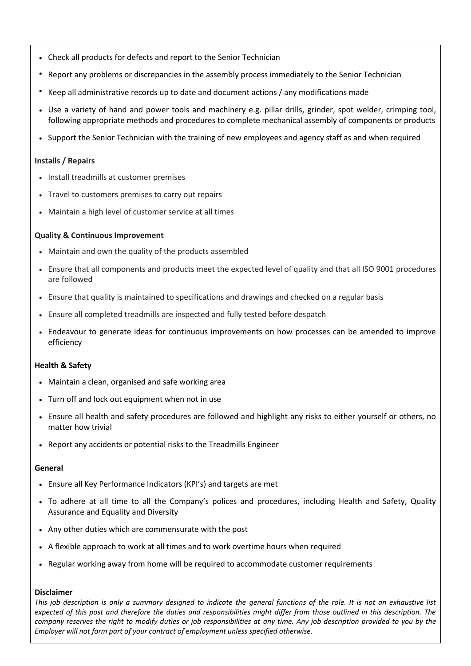- Check all products for defects and report to the Senior Technician
- Report any problems or discrepancies in the assembly process immediately to the Senior Technician
- Keep all administrative records up to date and document actions / any modifications made
- Use a variety of hand and power tools and machinery e.g. pillar drills, grinder, spot welder, crimping tool, following appropriate methods and procedures to complete mechanical assembly of components or products
- Support the Senior Technician with the training of new employees and agency staff as and when required

#### **Installs / Repairs**

- Install treadmills at customer premises
- Travel to customers premises to carry out repairs
- Maintain a high level of customer service at all times

#### **Quality & Continuous Improvement**

- Maintain and own the quality of the products assembled
- Ensure that all components and products meet the expected level of quality and that all ISO 9001 procedures are followed
- Ensure that quality is maintained to specifications and drawings and checked on a regular basis
- Ensure all completed treadmills are inspected and fully tested before despatch
- Endeavour to generate ideas for continuous improvements on how processes can be amended to improve efficiency

## **Health & Safety**

- Maintain a clean, organised and safe working area
- Turn off and lock out equipment when not in use
- Ensure all health and safety procedures are followed and highlight any risks to either yourself or others, no matter how trivial
- Report any accidents or potential risks to the Treadmills Engineer

#### **General**

- Ensure all Key Performance Indicators (KPI's) and targets are met
- To adhere at all time to all the Company's polices and procedures, including Health and Safety, Quality Assurance and Equality and Diversity
- Any other duties which are commensurate with the post
- A flexible approach to work at all times and to work overtime hours when required
- Regular working away from home will be required to accommodate customer requirements

#### **Disclaimer**

*This job description is only a summary designed to indicate the general functions of the role. It is not an exhaustive list expected of this post and therefore the duties and responsibilities might differ from those outlined in this description. The company reserves the right to modify duties or job responsibilities at any time. Any job description provided to you by the Employer will not form part of your contract of employment unless specified otherwise.*